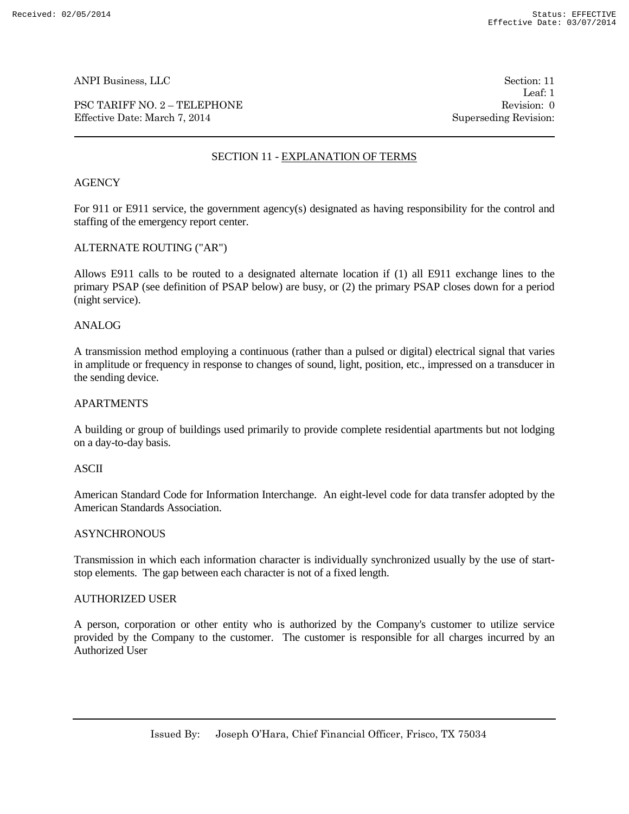PSC TARIFF NO. 2 – TELEPHONE Revision: 0 Effective Date: March 7, 2014 Superseding Revision:

Leaf: 1

# SECTION 11 - EXPLANATION OF TERMS

# **AGENCY**

For 911 or E911 service, the government agency(s) designated as having responsibility for the control and staffing of the emergency report center.

# ALTERNATE ROUTING ("AR")

Allows E911 calls to be routed to a designated alternate location if (1) all E911 exchange lines to the primary PSAP (see definition of PSAP below) are busy, or (2) the primary PSAP closes down for a period (night service).

# ANALOG

A transmission method employing a continuous (rather than a pulsed or digital) electrical signal that varies in amplitude or frequency in response to changes of sound, light, position, etc., impressed on a transducer in the sending device.

# APARTMENTS

A building or group of buildings used primarily to provide complete residential apartments but not lodging on a day-to-day basis.

# ASCII

American Standard Code for Information Interchange. An eight-level code for data transfer adopted by the American Standards Association.

# **ASYNCHRONOUS**

Transmission in which each information character is individually synchronized usually by the use of startstop elements. The gap between each character is not of a fixed length.

# AUTHORIZED USER

A person, corporation or other entity who is authorized by the Company's customer to utilize service provided by the Company to the customer. The customer is responsible for all charges incurred by an Authorized User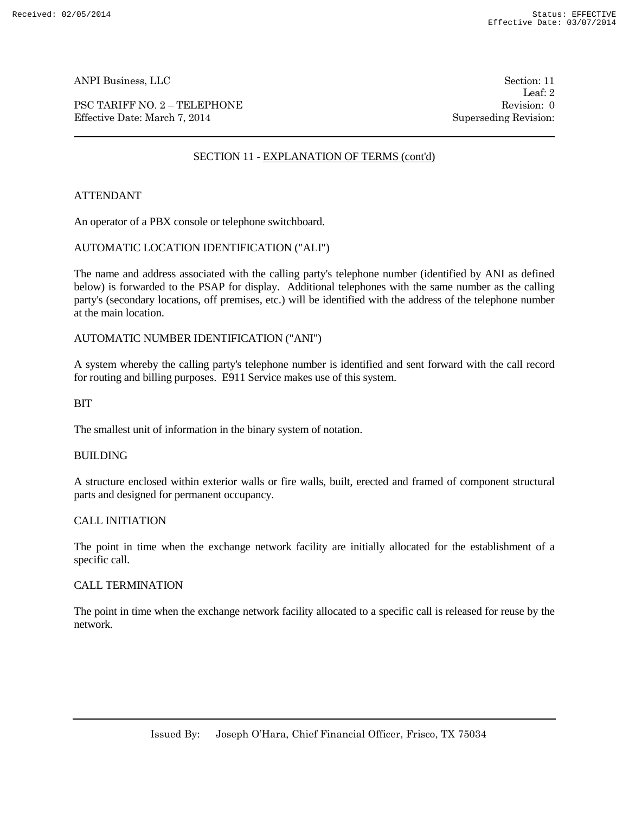PSC TARIFF NO. 2 – TELEPHONE Revision: 0 Effective Date: March 7, 2014 Superseding Revision:

Leaf: 2

# SECTION 11 - EXPLANATION OF TERMS (cont'd)

# ATTENDANT

An operator of a PBX console or telephone switchboard.

# AUTOMATIC LOCATION IDENTIFICATION ("ALI")

The name and address associated with the calling party's telephone number (identified by ANI as defined below) is forwarded to the PSAP for display. Additional telephones with the same number as the calling party's (secondary locations, off premises, etc.) will be identified with the address of the telephone number at the main location.

### AUTOMATIC NUMBER IDENTIFICATION ("ANI")

A system whereby the calling party's telephone number is identified and sent forward with the call record for routing and billing purposes. E911 Service makes use of this system.

BIT

The smallest unit of information in the binary system of notation.

#### BUILDING

A structure enclosed within exterior walls or fire walls, built, erected and framed of component structural parts and designed for permanent occupancy.

# CALL INITIATION

The point in time when the exchange network facility are initially allocated for the establishment of a specific call.

#### CALL TERMINATION

The point in time when the exchange network facility allocated to a specific call is released for reuse by the network.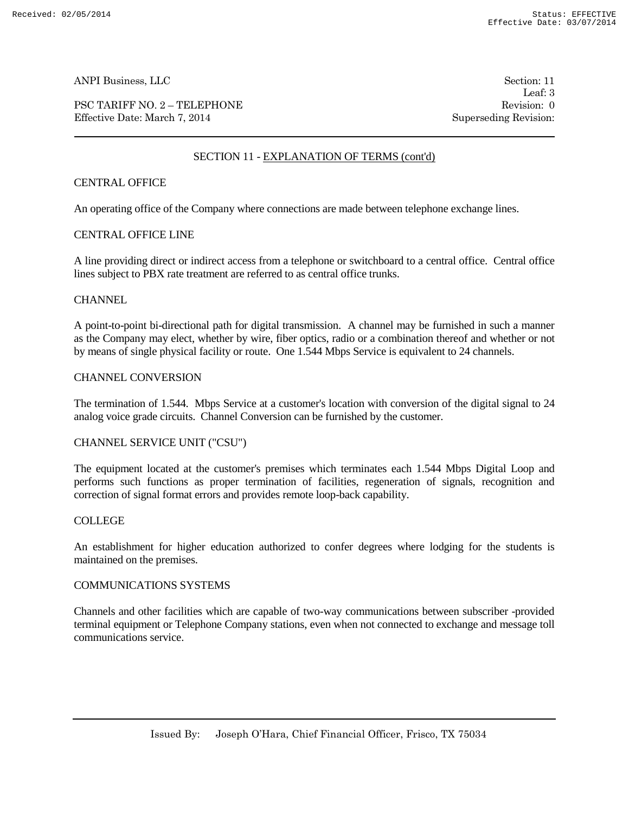PSC TARIFF NO. 2 – TELEPHONE Revision: 0 Effective Date: March 7, 2014 Superseding Revision:

Leaf: 3

# SECTION 11 - EXPLANATION OF TERMS (cont'd)

# CENTRAL OFFICE

An operating office of the Company where connections are made between telephone exchange lines.

# CENTRAL OFFICE LINE

A line providing direct or indirect access from a telephone or switchboard to a central office. Central office lines subject to PBX rate treatment are referred to as central office trunks.

# **CHANNEL**

A point-to-point bi-directional path for digital transmission. A channel may be furnished in such a manner as the Company may elect, whether by wire, fiber optics, radio or a combination thereof and whether or not by means of single physical facility or route. One 1.544 Mbps Service is equivalent to 24 channels.

# CHANNEL CONVERSION

The termination of 1.544. Mbps Service at a customer's location with conversion of the digital signal to 24 analog voice grade circuits. Channel Conversion can be furnished by the customer.

# CHANNEL SERVICE UNIT ("CSU")

The equipment located at the customer's premises which terminates each 1.544 Mbps Digital Loop and performs such functions as proper termination of facilities, regeneration of signals, recognition and correction of signal format errors and provides remote loop-back capability.

# COLLEGE

An establishment for higher education authorized to confer degrees where lodging for the students is maintained on the premises.

# COMMUNICATIONS SYSTEMS

Channels and other facilities which are capable of two-way communications between subscriber -provided terminal equipment or Telephone Company stations, even when not connected to exchange and message toll communications service.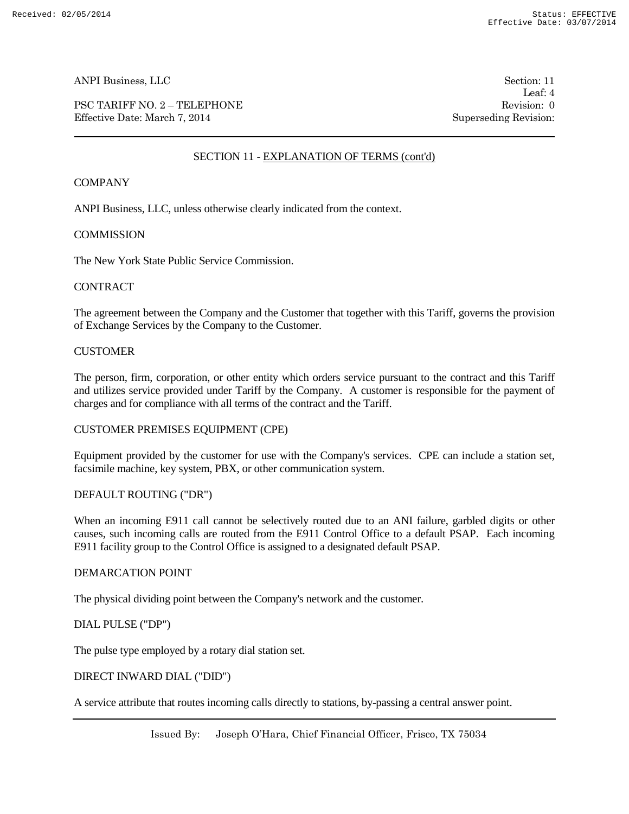PSC TARIFF NO. 2 – TELEPHONE Revision: 0 Effective Date: March 7, 2014 Superseding Revision:

Leaf: 4

# SECTION 11 - EXPLANATION OF TERMS (cont'd)

# **COMPANY**

ANPI Business, LLC, unless otherwise clearly indicated from the context.

# **COMMISSION**

The New York State Public Service Commission.

### CONTRACT

The agreement between the Company and the Customer that together with this Tariff, governs the provision of Exchange Services by the Company to the Customer.

# **CUSTOMER**

The person, firm, corporation, or other entity which orders service pursuant to the contract and this Tariff and utilizes service provided under Tariff by the Company. A customer is responsible for the payment of charges and for compliance with all terms of the contract and the Tariff.

# CUSTOMER PREMISES EQUIPMENT (CPE)

Equipment provided by the customer for use with the Company's services. CPE can include a station set, facsimile machine, key system, PBX, or other communication system.

# DEFAULT ROUTING ("DR")

When an incoming E911 call cannot be selectively routed due to an ANI failure, garbled digits or other causes, such incoming calls are routed from the E911 Control Office to a default PSAP. Each incoming E911 facility group to the Control Office is assigned to a designated default PSAP.

# DEMARCATION POINT

The physical dividing point between the Company's network and the customer.

# DIAL PULSE ("DP")

The pulse type employed by a rotary dial station set.

#### DIRECT INWARD DIAL ("DID")

A service attribute that routes incoming calls directly to stations, by-passing a central answer point.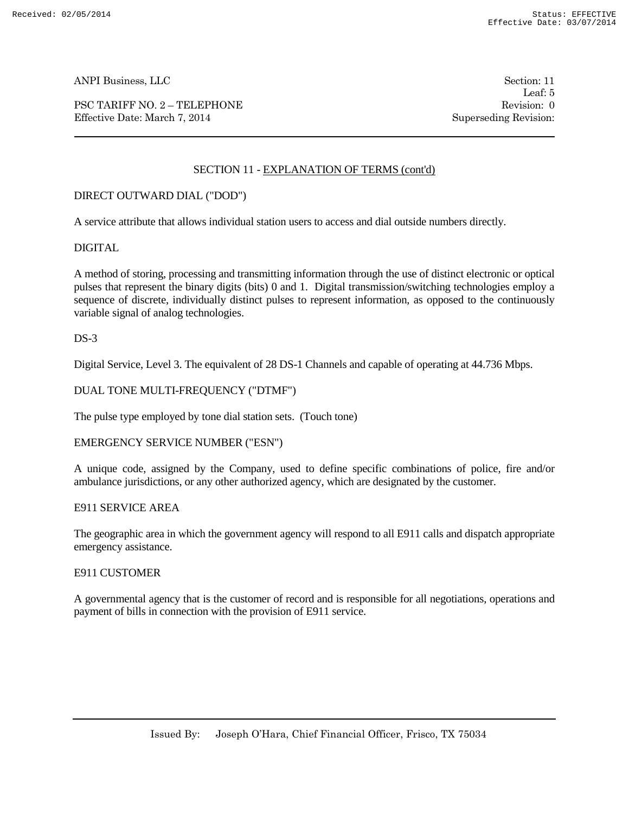PSC TARIFF NO. 2 – TELEPHONE Revision: 0 Effective Date: March 7, 2014 Superseding Revision:

Leaf: 5

# SECTION 11 - EXPLANATION OF TERMS (cont'd)

# DIRECT OUTWARD DIAL ("DOD")

A service attribute that allows individual station users to access and dial outside numbers directly.

### DIGITAL

A method of storing, processing and transmitting information through the use of distinct electronic or optical pulses that represent the binary digits (bits) 0 and 1. Digital transmission/switching technologies employ a sequence of discrete, individually distinct pulses to represent information, as opposed to the continuously variable signal of analog technologies.

 $DS-3$ 

Digital Service, Level 3. The equivalent of 28 DS-1 Channels and capable of operating at 44.736 Mbps.

# DUAL TONE MULTI-FREQUENCY ("DTMF")

The pulse type employed by tone dial station sets. (Touch tone)

#### EMERGENCY SERVICE NUMBER ("ESN")

A unique code, assigned by the Company, used to define specific combinations of police, fire and/or ambulance jurisdictions, or any other authorized agency, which are designated by the customer.

#### E911 SERVICE AREA

The geographic area in which the government agency will respond to all E911 calls and dispatch appropriate emergency assistance.

#### E911 CUSTOMER

A governmental agency that is the customer of record and is responsible for all negotiations, operations and payment of bills in connection with the provision of E911 service.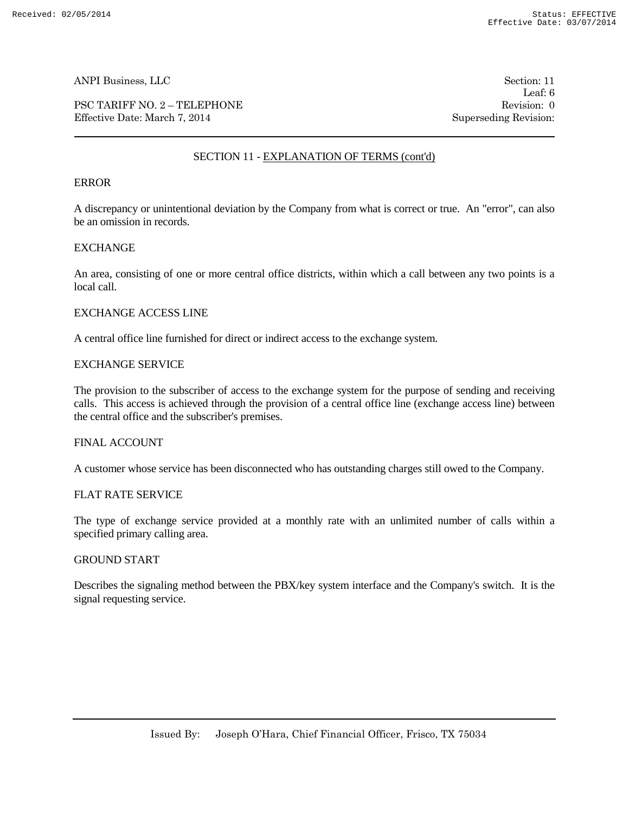PSC TARIFF NO. 2 – TELEPHONE Revision: 0 Effective Date: March 7, 2014 Superseding Revision:

Leaf: 6

# SECTION 11 - EXPLANATION OF TERMS (cont'd)

# ERROR

A discrepancy or unintentional deviation by the Company from what is correct or true. An "error", can also be an omission in records.

### **EXCHANGE**

An area, consisting of one or more central office districts, within which a call between any two points is a local call.

### EXCHANGE ACCESS LINE

A central office line furnished for direct or indirect access to the exchange system.

# EXCHANGE SERVICE

The provision to the subscriber of access to the exchange system for the purpose of sending and receiving calls. This access is achieved through the provision of a central office line (exchange access line) between the central office and the subscriber's premises.

#### FINAL ACCOUNT

A customer whose service has been disconnected who has outstanding charges still owed to the Company.

# FLAT RATE SERVICE

The type of exchange service provided at a monthly rate with an unlimited number of calls within a specified primary calling area.

# GROUND START

Describes the signaling method between the PBX/key system interface and the Company's switch. It is the signal requesting service.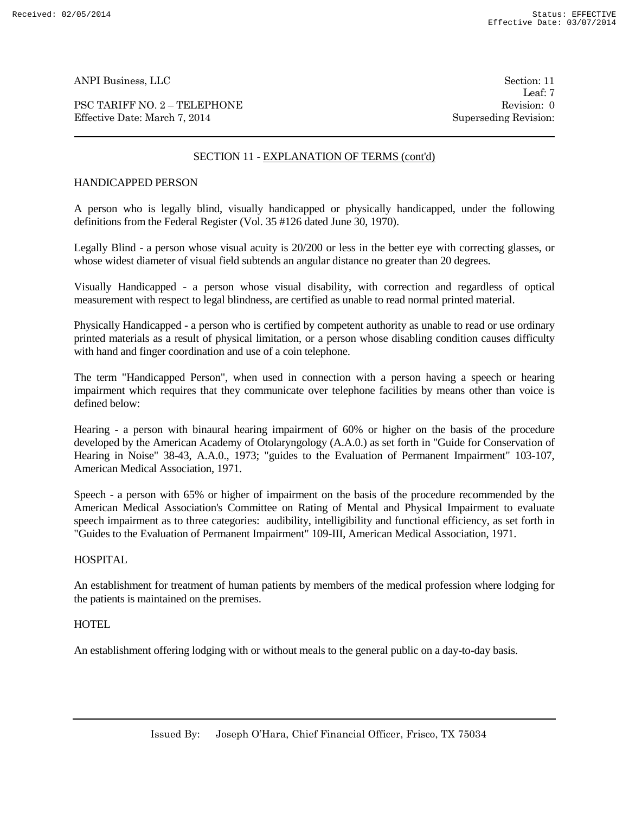PSC TARIFF NO. 2 – TELEPHONE Revision: 0 Effective Date: March 7, 2014 Superseding Revision:

Leaf: 7

# SECTION 11 - EXPLANATION OF TERMS (cont'd)

# HANDICAPPED PERSON

A person who is legally blind, visually handicapped or physically handicapped, under the following definitions from the Federal Register (Vol. 35 #126 dated June 30, 1970).

Legally Blind - a person whose visual acuity is 20/200 or less in the better eye with correcting glasses, or whose widest diameter of visual field subtends an angular distance no greater than 20 degrees.

Visually Handicapped - a person whose visual disability, with correction and regardless of optical measurement with respect to legal blindness, are certified as unable to read normal printed material.

Physically Handicapped - a person who is certified by competent authority as unable to read or use ordinary printed materials as a result of physical limitation, or a person whose disabling condition causes difficulty with hand and finger coordination and use of a coin telephone.

The term "Handicapped Person", when used in connection with a person having a speech or hearing impairment which requires that they communicate over telephone facilities by means other than voice is defined below:

Hearing - a person with binaural hearing impairment of 60% or higher on the basis of the procedure developed by the American Academy of Otolaryngology (A.A.0.) as set forth in "Guide for Conservation of Hearing in Noise" 38-43, A.A.0., 1973; "guides to the Evaluation of Permanent Impairment" 103-107, American Medical Association, 1971.

Speech - a person with 65% or higher of impairment on the basis of the procedure recommended by the American Medical Association's Committee on Rating of Mental and Physical Impairment to evaluate speech impairment as to three categories: audibility, intelligibility and functional efficiency, as set forth in "Guides to the Evaluation of Permanent Impairment" 109-III, American Medical Association, 1971.

# HOSPITAL

An establishment for treatment of human patients by members of the medical profession where lodging for the patients is maintained on the premises.

# HOTEL.

An establishment offering lodging with or without meals to the general public on a day-to-day basis.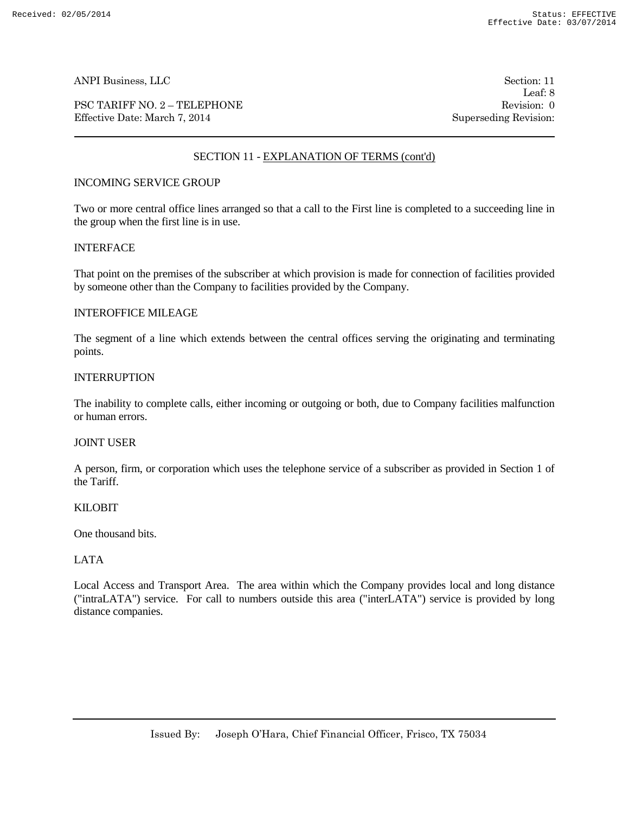PSC TARIFF NO. 2 – TELEPHONE Revision: 0 Effective Date: March 7, 2014 Superseding Revision:

Leaf: 8

# SECTION 11 - EXPLANATION OF TERMS (cont'd)

# INCOMING SERVICE GROUP

Two or more central office lines arranged so that a call to the First line is completed to a succeeding line in the group when the first line is in use.

# INTERFACE

That point on the premises of the subscriber at which provision is made for connection of facilities provided by someone other than the Company to facilities provided by the Company.

# INTEROFFICE MILEAGE

The segment of a line which extends between the central offices serving the originating and terminating points.

### INTERRUPTION

The inability to complete calls, either incoming or outgoing or both, due to Company facilities malfunction or human errors.

# JOINT USER

A person, firm, or corporation which uses the telephone service of a subscriber as provided in Section 1 of the Tariff.

#### KILOBIT

One thousand bits.

# LATA

Local Access and Transport Area. The area within which the Company provides local and long distance ("intraLATA") service. For call to numbers outside this area ("interLATA") service is provided by long distance companies.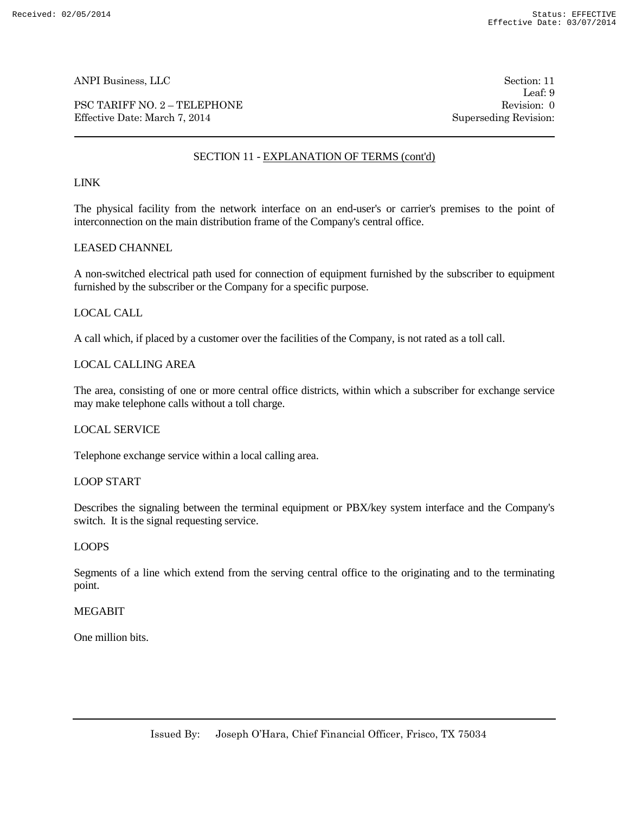PSC TARIFF NO. 2 – TELEPHONE Revision: 0 Effective Date: March 7, 2014 Superseding Revision:

Leaf: 9

# SECTION 11 - EXPLANATION OF TERMS (cont'd)

# LINK

The physical facility from the network interface on an end-user's or carrier's premises to the point of interconnection on the main distribution frame of the Company's central office.

### LEASED CHANNEL

A non-switched electrical path used for connection of equipment furnished by the subscriber to equipment furnished by the subscriber or the Company for a specific purpose.

### LOCAL CALL

A call which, if placed by a customer over the facilities of the Company, is not rated as a toll call.

# LOCAL CALLING AREA

The area, consisting of one or more central office districts, within which a subscriber for exchange service may make telephone calls without a toll charge.

# LOCAL SERVICE

Telephone exchange service within a local calling area.

# LOOP START

Describes the signaling between the terminal equipment or PBX/key system interface and the Company's switch. It is the signal requesting service.

#### LOOPS

Segments of a line which extend from the serving central office to the originating and to the terminating point.

# **MEGABIT**

One million bits.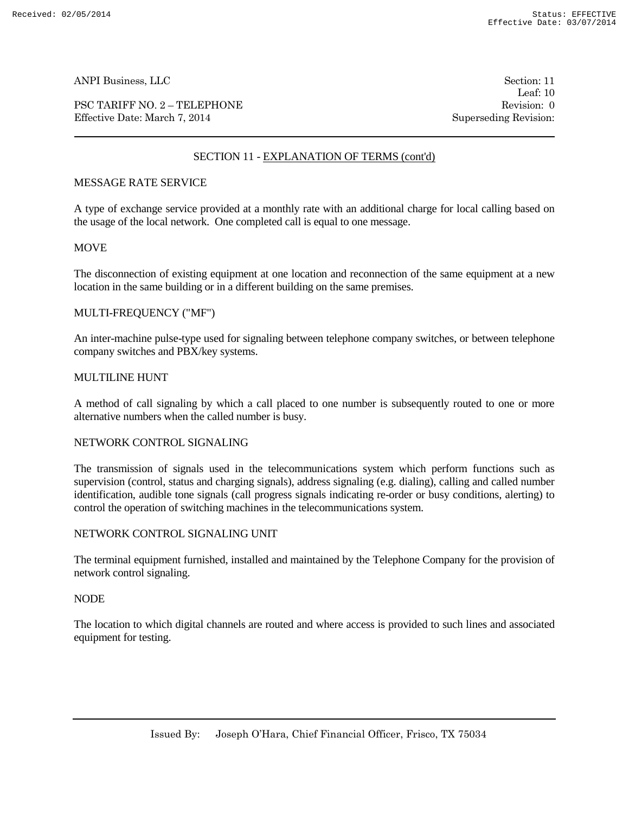PSC TARIFF NO. 2 – TELEPHONE Revision: 0 Effective Date: March 7, 2014 Superseding Revision:

Leaf: 10

# SECTION 11 - EXPLANATION OF TERMS (cont'd)

# MESSAGE RATE SERVICE

A type of exchange service provided at a monthly rate with an additional charge for local calling based on the usage of the local network. One completed call is equal to one message.

### **MOVE**

The disconnection of existing equipment at one location and reconnection of the same equipment at a new location in the same building or in a different building on the same premises.

# MULTI-FREQUENCY ("MF")

An inter-machine pulse-type used for signaling between telephone company switches, or between telephone company switches and PBX/key systems.

#### MULTILINE HUNT

A method of call signaling by which a call placed to one number is subsequently routed to one or more alternative numbers when the called number is busy.

#### NETWORK CONTROL SIGNALING

The transmission of signals used in the telecommunications system which perform functions such as supervision (control, status and charging signals), address signaling (e.g. dialing), calling and called number identification, audible tone signals (call progress signals indicating re-order or busy conditions, alerting) to control the operation of switching machines in the telecommunications system.

### NETWORK CONTROL SIGNALING UNIT

The terminal equipment furnished, installed and maintained by the Telephone Company for the provision of network control signaling.

#### NODE

The location to which digital channels are routed and where access is provided to such lines and associated equipment for testing.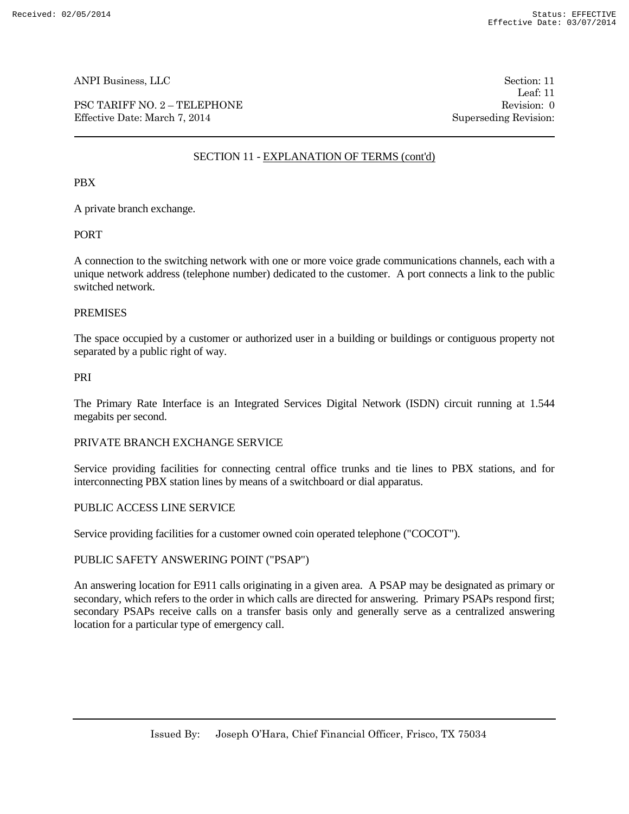PSC TARIFF NO. 2 – TELEPHONE Revision: 0 Effective Date: March 7, 2014 Superseding Revision:

Leaf: 11

# SECTION 11 - EXPLANATION OF TERMS (cont'd)

# PBX

A private branch exchange.

# PORT

A connection to the switching network with one or more voice grade communications channels, each with a unique network address (telephone number) dedicated to the customer. A port connects a link to the public switched network.

# PREMISES

The space occupied by a customer or authorized user in a building or buildings or contiguous property not separated by a public right of way.

### PRI

The Primary Rate Interface is an Integrated Services Digital Network (ISDN) circuit running at 1.544 megabits per second.

# PRIVATE BRANCH EXCHANGE SERVICE

Service providing facilities for connecting central office trunks and tie lines to PBX stations, and for interconnecting PBX station lines by means of a switchboard or dial apparatus.

# PUBLIC ACCESS LINE SERVICE

Service providing facilities for a customer owned coin operated telephone ("COCOT").

# PUBLIC SAFETY ANSWERING POINT ("PSAP")

An answering location for E911 calls originating in a given area. A PSAP may be designated as primary or secondary, which refers to the order in which calls are directed for answering. Primary PSAPs respond first; secondary PSAPs receive calls on a transfer basis only and generally serve as a centralized answering location for a particular type of emergency call.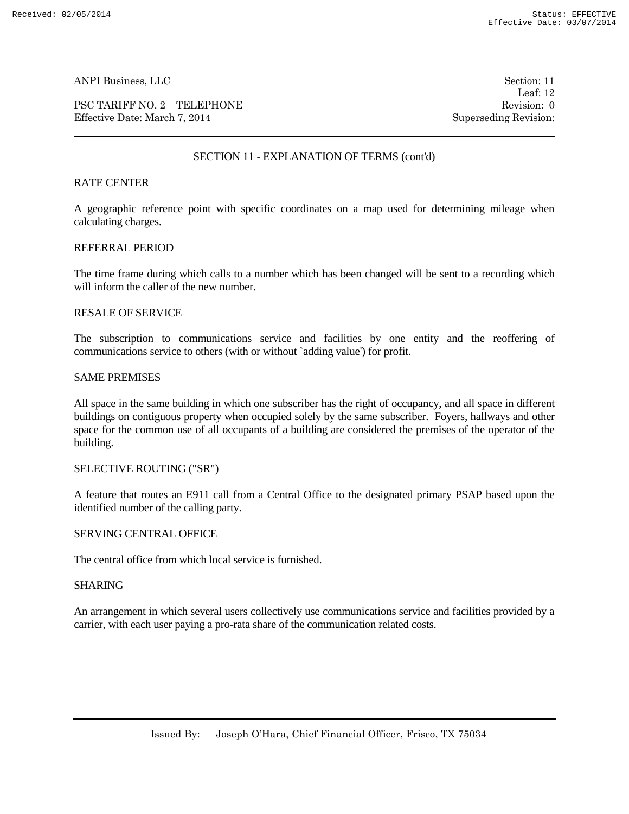PSC TARIFF NO. 2 – TELEPHONE Revision: 0 Effective Date: March 7, 2014 Superseding Revision:

Leaf: 12

# SECTION 11 - EXPLANATION OF TERMS (cont'd)

# RATE CENTER

A geographic reference point with specific coordinates on a map used for determining mileage when calculating charges.

#### REFERRAL PERIOD

The time frame during which calls to a number which has been changed will be sent to a recording which will inform the caller of the new number.

# RESALE OF SERVICE

The subscription to communications service and facilities by one entity and the reoffering of communications service to others (with or without `adding value') for profit.

#### SAME PREMISES

All space in the same building in which one subscriber has the right of occupancy, and all space in different buildings on contiguous property when occupied solely by the same subscriber. Foyers, hallways and other space for the common use of all occupants of a building are considered the premises of the operator of the building.

### SELECTIVE ROUTING ("SR")

A feature that routes an E911 call from a Central Office to the designated primary PSAP based upon the identified number of the calling party.

# SERVING CENTRAL OFFICE

The central office from which local service is furnished.

#### SHARING

An arrangement in which several users collectively use communications service and facilities provided by a carrier, with each user paying a pro-rata share of the communication related costs.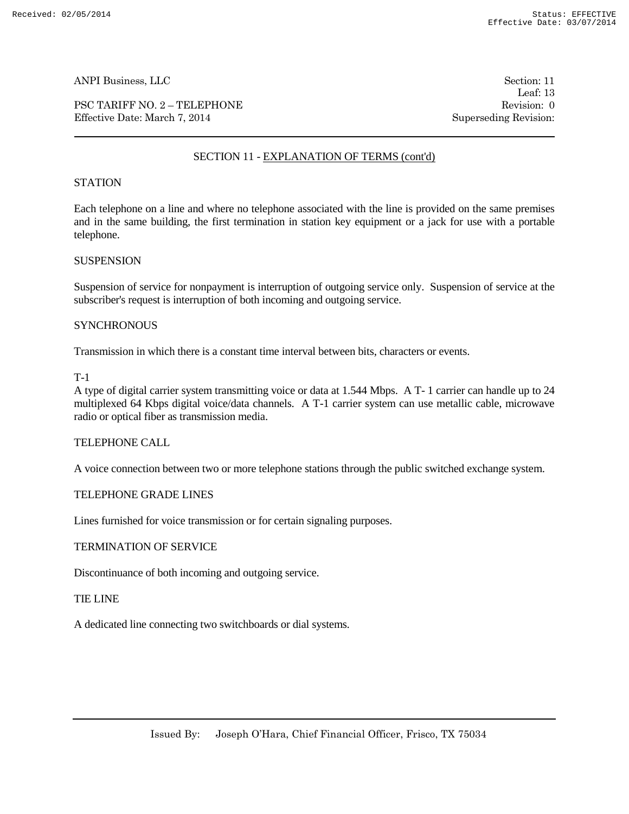PSC TARIFF NO. 2 – TELEPHONE Revision: 0 Effective Date: March 7, 2014 Superseding Revision:

Leaf: 13

# SECTION 11 - EXPLANATION OF TERMS (cont'd)

# **STATION**

Each telephone on a line and where no telephone associated with the line is provided on the same premises and in the same building, the first termination in station key equipment or a jack for use with a portable telephone.

### **SUSPENSION**

Suspension of service for nonpayment is interruption of outgoing service only. Suspension of service at the subscriber's request is interruption of both incoming and outgoing service.

### **SYNCHRONOUS**

Transmission in which there is a constant time interval between bits, characters or events.

#### T-1

A type of digital carrier system transmitting voice or data at 1.544 Mbps. A T- 1 carrier can handle up to 24 multiplexed 64 Kbps digital voice/data channels. A T-1 carrier system can use metallic cable, microwave radio or optical fiber as transmission media.

#### TELEPHONE CALL

A voice connection between two or more telephone stations through the public switched exchange system.

# TELEPHONE GRADE LINES

Lines furnished for voice transmission or for certain signaling purposes.

#### TERMINATION OF SERVICE

Discontinuance of both incoming and outgoing service.

#### TIE LINE

A dedicated line connecting two switchboards or dial systems.